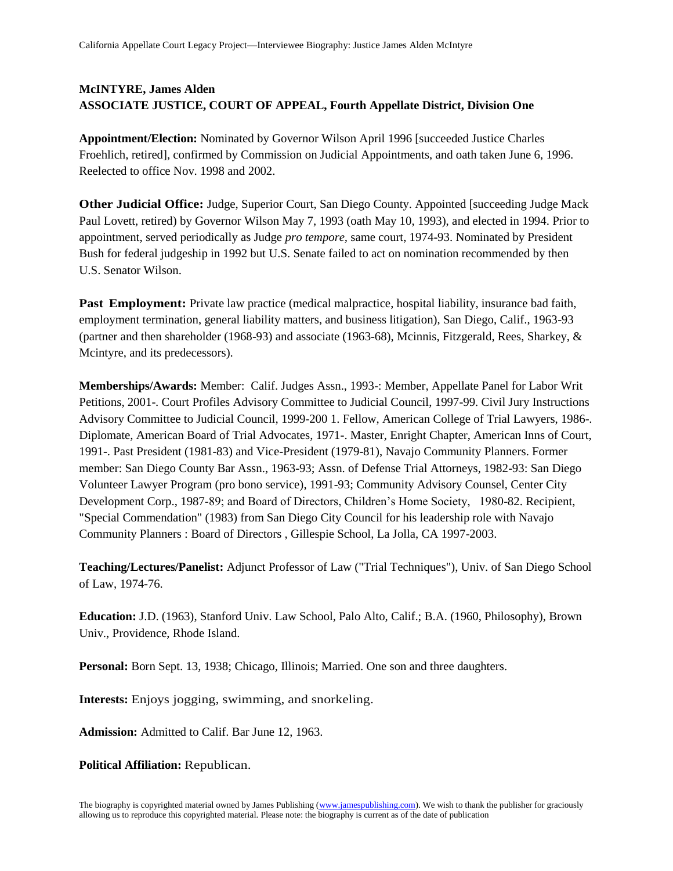## **McINTYRE, James Alden ASSOCIATE JUSTICE, COURT OF APPEAL, Fourth Appellate District, Division One**

**Appointment/Election:** Nominated by Governor Wilson April 1996 [succeeded Justice Charles Froehlich, retired], confirmed by Commission on Judicial Appointments, and oath taken June 6, 1996. Reelected to office Nov. 1998 and 2002.

**Other Judicial Office:** Judge, Superior Court, San Diego County. Appointed [succeeding Judge Mack Paul Lovett, retired) by Governor Wilson May 7, 1993 (oath May 10, 1993), and elected in 1994. Prior to appointment, served periodically as Judge *pro tempore,* same court, 1974-93. Nominated by President Bush for federal judgeship in 1992 but U.S. Senate failed to act on nomination recommended by then U.S. Senator Wilson.

**Past Employment:** Private law practice (medical malpractice, hospital liability, insurance bad faith, employment termination, general liability matters, and business litigation), San Diego, Calif., 1963-93 (partner and then shareholder (1968-93) and associate (1963-68), Mcinnis, Fitzgerald, Rees, Sharkey, & Mcintyre, and its predecessors).

**Memberships/Awards:** Member: Calif. Judges Assn., 1993-: Member, Appellate Panel for Labor Writ Petitions, 2001-. Court Profiles Advisory Committee to Judicial Council, 1997-99. Civil Jury Instructions Advisory Committee to Judicial Council, 1999-200 1. Fellow, American College of Trial Lawyers, 1986-. Diplomate, American Board of Trial Advocates, 1971-. Master, Enright Chapter, American Inns of Court, 1991-. Past President (1981-83) and Vice-President (1979-81), Navajo Community Planners. Former member: San Diego County Bar Assn., 1963-93; Assn. of Defense Trial Attorneys, 1982-93: San Diego Volunteer Lawyer Program (pro bono service), 1991-93; Community Advisory Counsel, Center City Development Corp., 1987-89; and Board of Directors, Children's Home Society, 1980-82. Recipient, "Special Commendation" (1983) from San Diego City Council for his leadership role with Navajo Community Planners : Board of Directors , Gillespie School, La Jolla, CA 1997-2003.

**Teaching/Lectures/Panelist:** Adjunct Professor of Law ("Trial Techniques"), Univ. of San Diego School of Law, 1974-76.

**Education:** J.D. (1963), Stanford Univ. Law School, Palo Alto, Calif.; B.A. (1960, Philosophy), Brown Univ., Providence, Rhode Island.

**Personal:** Born Sept. 13, 1938; Chicago, Illinois; Married. One son and three daughters.

**Interests:** Enjoys jogging, swimming, and snorkeling.

**Admission:** Admitted to Calif. Bar June 12, 1963.

**Political Affiliation:** Republican.